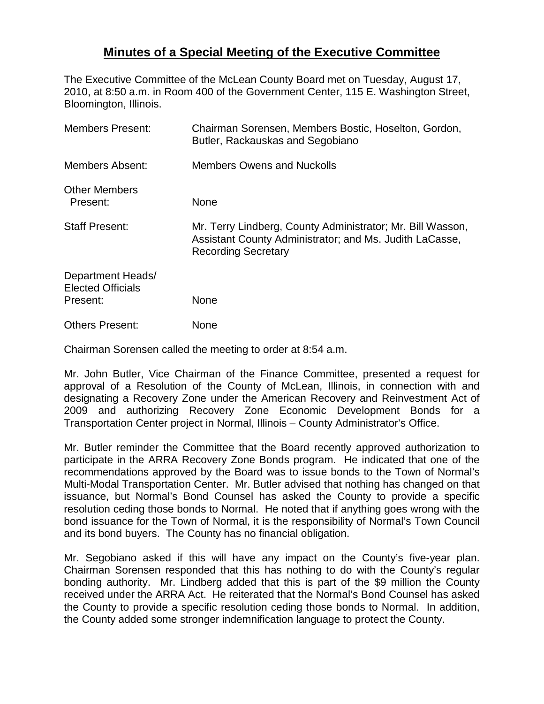## **Minutes of a Special Meeting of the Executive Committee**

The Executive Committee of the McLean County Board met on Tuesday, August 17, 2010, at 8:50 a.m. in Room 400 of the Government Center, 115 E. Washington Street, Bloomington, Illinois.

| <b>Members Present:</b>                                   | Chairman Sorensen, Members Bostic, Hoselton, Gordon,<br>Butler, Rackauskas and Segobiano                                                            |
|-----------------------------------------------------------|-----------------------------------------------------------------------------------------------------------------------------------------------------|
| Members Absent:                                           | <b>Members Owens and Nuckolls</b>                                                                                                                   |
| <b>Other Members</b><br>Present:                          | None                                                                                                                                                |
| <b>Staff Present:</b>                                     | Mr. Terry Lindberg, County Administrator; Mr. Bill Wasson,<br>Assistant County Administrator; and Ms. Judith LaCasse,<br><b>Recording Secretary</b> |
| Department Heads/<br><b>Elected Officials</b><br>Present: | None                                                                                                                                                |
| <b>Others Present:</b>                                    | None                                                                                                                                                |

Chairman Sorensen called the meeting to order at 8:54 a.m.

Mr. John Butler, Vice Chairman of the Finance Committee, presented a request for approval of a Resolution of the County of McLean, Illinois, in connection with and designating a Recovery Zone under the American Recovery and Reinvestment Act of 2009 and authorizing Recovery Zone Economic Development Bonds for a Transportation Center project in Normal, Illinois – County Administrator's Office.

Mr. Butler reminder the Committee that the Board recently approved authorization to participate in the ARRA Recovery Zone Bonds program. He indicated that one of the recommendations approved by the Board was to issue bonds to the Town of Normal's Multi-Modal Transportation Center. Mr. Butler advised that nothing has changed on that issuance, but Normal's Bond Counsel has asked the County to provide a specific resolution ceding those bonds to Normal. He noted that if anything goes wrong with the bond issuance for the Town of Normal, it is the responsibility of Normal's Town Council and its bond buyers. The County has no financial obligation.

Mr. Segobiano asked if this will have any impact on the County's five-year plan. Chairman Sorensen responded that this has nothing to do with the County's regular bonding authority. Mr. Lindberg added that this is part of the \$9 million the County received under the ARRA Act. He reiterated that the Normal's Bond Counsel has asked the County to provide a specific resolution ceding those bonds to Normal. In addition, the County added some stronger indemnification language to protect the County.